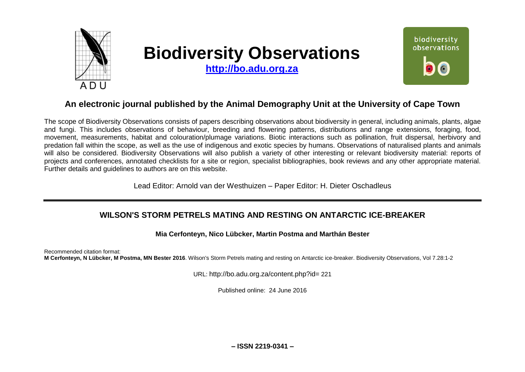

# **Biodiversity Observations**

**[http://bo.adu.org.za](http://bo.adu.org.za/)**



# **An electronic journal published by the Animal Demography Unit at the University of Cape Town**

The scope of Biodiversity Observations consists of papers describing observations about biodiversity in general, including animals, plants, algae and fungi. This includes observations of behaviour, breeding and flowering patterns, distributions and range extensions, foraging, food, movement, measurements, habitat and colouration/plumage variations. Biotic interactions such as pollination, fruit dispersal, herbivory and predation fall within the scope, as well as the use of indigenous and exotic species by humans. Observations of naturalised plants and animals will also be considered. Biodiversity Observations will also publish a variety of other interesting or relevant biodiversity material: reports of projects and conferences, annotated checklists for a site or region, specialist bibliographies, book reviews and any other appropriate material. Further details and guidelines to authors are on this website.

Lead Editor: Arnold van der Westhuizen – Paper Editor: H. Dieter Oschadleus

## **WILSON'S STORM PETRELS MATING AND RESTING ON ANTARCTIC ICE-BREAKER**

#### **Mia Cerfonteyn, Nico Lübcker, Martin Postma and Marthán Bester**

Recommended citation format: **M Cerfonteyn, N Lübcker, M Postma, MN Bester 2016**. Wilson's Storm Petrels mating and resting on Antarctic ice-breaker. Biodiversity Observations, Vol 7.28:1-2

URL: http://bo.adu.org.za/content.php?id= 221

Published online: 24 June 2016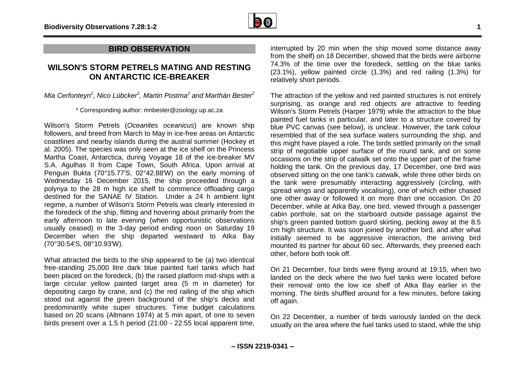

### **BIRD OBSERVATION**

## **WILSON'S STORM PETRELS MATING AND RESTING ON ANTARCTIC ICE-BREAKER**

*Mia Cerfonteyn<sup>1</sup> , Nico Lübcker<sup>2</sup> , Martin Postma<sup>2</sup> and Marthán Bester<sup>2</sup>*

\* Corresponding author: mnbester@zoology.up.ac.za

Wilson's Storm Petrels (*Oceanites oceanicus*) are known ship followers, and breed from March to May in ice-free areas on Antarctic coastlines and nearby islands during the austral summer (Hockey et al. 2005). The species was only seen at the ice shelf on the Princess Martha Coast, Antarctica, during Voyage 18 of the ice-breaker MV S.A. Agulhas II from Cape Town, South Africa. Upon arrival at Penguin Bukta (70°15.77'S, 02°42.88'W) on the early morning of Wednesday 16 December 2015, the ship proceeded through a polynya to the 28 m high ice shelf to commence offloading cargo destined for the SANAE IV Station. Under a 24 h ambient light regime, a number of Wilson's Storm Petrels was clearly interested in the foredeck of the ship, flitting and hovering about primarily from the early afternoon to late evening (when opportunistic observations usually ceased) in the 3-day period ending noon on Saturday 19 December when the ship departed westward to Atka Bay (70°30.54'S, 08°10.93'W).

What attracted the birds to the ship appeared to be (a) two identical free-standing 25,000 litre dark blue painted fuel tanks which had been placed on the foredeck, (b) the raised platform mid-ships with a large circular yellow painted target area (5 m in diameter) for depositing cargo by crane, and (c) the red railing of the ship which stood out against the green background of the ship's decks and predominantly white super structures. Time budget calculations based on 20 scans (Altmann 1974) at 5 min apart, of one to seven birds present over a 1.5 h period (21:00 - 22:55 local apparent time,

interrupted by 20 min when the ship moved some distance away from the shelf) on 18 December, showed that the birds were airborne 74.3% of the time over the foredeck, settling on the blue tanks (23.1%), yellow painted circle (1.3%) and red railing (1.3%) for relatively short periods.

The attraction of the yellow and red painted structures is not entirely surprising, as orange and red objects are attractive to feeding Wilson's Storm Petrels (Harper 1979) while the attraction to the blue painted fuel tanks in particular, and later to a structure covered by blue PVC canvas (see below), is unclear. However, the tank colour resembled that of the sea surface waters surrounding the ship, and this might have played a role. The birds settled primarily on the small strip of negotiable upper surface of the round tank, and on some occasions on the strip of catwalk set onto the upper part of the frame holding the tank. On the previous day, 17 December, one bird was observed sitting on the one tank's catwalk, while three other birds on the tank were presumably interacting aggressively (circling, with spread wings and apparently vocalising), one of which either chased one other away or followed it on more than one occasion. On 20 December, while at Atka Bay, one bird, viewed through a passenger cabin porthole, sat on the starboard outside passage against the ship's green painted bottom guard skirting, pecking away at the 8.5 cm high structure. It was soon joined by another bird, and after what initially seemed to be aggressive interaction, the arriving bird mounted its partner for about 60 sec. Afterwards, they preened each other, before both took off.

On 21 December, four birds were flying around at 19:15, when two landed on the deck where the two fuel tanks were located before their removal onto the low ice shelf of Atka Bay earlier in the morning. The birds shuffled around for a few minutes, before taking off again.

On 22 December, a number of birds variously landed on the deck usually on the area where the fuel tanks used to stand, while the ship